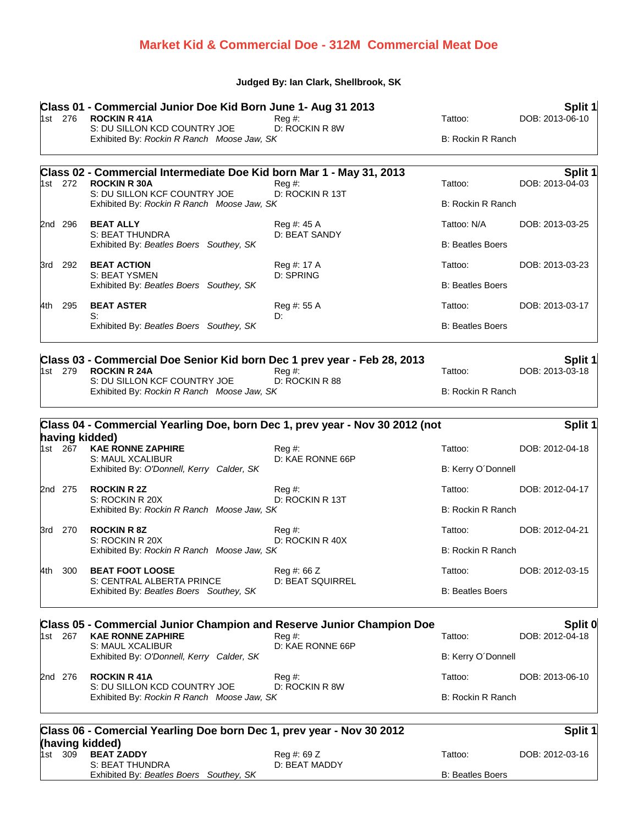## **Market Kid & Commercial Doe - 312M Commercial Meat Doe**

## **Judged By: Ian Clark, Shellbrook, SK**

|         | 1st 276                                                                    | Class 01 - Commercial Junior Doe Kid Born June 1- Aug 31 2013<br><b>ROCKIN R 41A</b>            | $Reg#$ :                               | Tattoo:                  | Split 1<br>DOB: 2013-06-10 |
|---------|----------------------------------------------------------------------------|-------------------------------------------------------------------------------------------------|----------------------------------------|--------------------------|----------------------------|
|         |                                                                            | S: DU SILLON KCD COUNTRY JOE                                                                    | D: ROCKIN R 8W                         | B: Rockin R Ranch        |                            |
|         |                                                                            | Exhibited By: Rockin R Ranch Moose Jaw, SK                                                      |                                        |                          |                            |
|         | 1st 272                                                                    | Class 02 - Commercial Intermediate Doe Kid born Mar 1 - May 31, 2013<br><b>ROCKIN R 30A</b>     | $Reg#$ :                               | Tattoo:                  | Split 1<br>DOB: 2013-04-03 |
|         |                                                                            | S: DU SILLON KCF COUNTRY JOE<br>Exhibited By: Rockin R Ranch Moose Jaw, SK                      | D: ROCKIN R 13T                        | <b>B: Rockin R Ranch</b> |                            |
|         | 2nd 296                                                                    | <b>BEAT ALLY</b>                                                                                | Reg #: 45 A                            | Tattoo: N/A              | DOB: 2013-03-25            |
|         |                                                                            | <b>S: BEAT THUNDRA</b><br>Exhibited By: Beatles Boers Southey, SK                               | D: BEAT SANDY                          | <b>B: Beatles Boers</b>  |                            |
|         | 3rd 292                                                                    | <b>BEAT ACTION</b>                                                                              | Reg #: 17 A                            | Tattoo:                  | DOB: 2013-03-23            |
|         |                                                                            | S: BEAT YSMEN<br>Exhibited By: Beatles Boers Southey, SK                                        | D: SPRING                              | <b>B: Beatles Boers</b>  |                            |
| 4th l   | 295                                                                        | <b>BEAT ASTER</b>                                                                               | Reg #: 55 A                            | Tattoo:                  | DOB: 2013-03-17            |
|         |                                                                            | S:<br>Exhibited By: Beatles Boers Southey, SK                                                   | D:                                     | <b>B: Beatles Boers</b>  |                            |
|         | 1st 279                                                                    | Class 03 - Commercial Doe Senior Kid born Dec 1 prev year - Feb 28, 2013<br><b>ROCKIN R 24A</b> | $Reg#$ :                               | Tattoo:                  | Split 1<br>DOB: 2013-03-18 |
|         | S: DU SILLON KCF COUNTRY JOE<br>Exhibited By: Rockin R Ranch Moose Jaw, SK | D: ROCKIN R 88                                                                                  | <b>B: Rockin R Ranch</b>               |                          |                            |
|         |                                                                            |                                                                                                 |                                        |                          |                            |
|         |                                                                            | Class 04 - Commercial Yearling Doe, born Dec 1, prev year - Nov 30 2012 (not                    |                                        |                          | Split 1                    |
|         | 1st 267                                                                    | having kidded)<br><b>KAE RONNE ZAPHIRE</b>                                                      | $Reg#$ :                               | Tattoo:                  | DOB: 2012-04-18            |
|         |                                                                            | S: MAUL XCALIBUR<br>Exhibited By: O'Donnell, Kerry Calder, SK                                   | D: KAE RONNE 66P                       | B: Kerry O'Donnell       |                            |
|         | 2nd 275                                                                    | <b>ROCKIN R 2Z</b>                                                                              | Reg #:                                 | Tattoo:                  | DOB: 2012-04-17            |
|         |                                                                            | S: ROCKIN R 20X<br>Exhibited By: Rockin R Ranch Moose Jaw, SK                                   | D: ROCKIN R 13T                        | <b>B: Rockin R Ranch</b> |                            |
|         | 3rd 270                                                                    | <b>ROCKIN R 8Z</b>                                                                              | Reg #:                                 | Tattoo:                  | DOB: 2012-04-21            |
|         |                                                                            | S: ROCKIN R 20X<br>Exhibited By: Rockin R Ranch Moose Jaw, SK                                   | D: ROCKIN R 40X                        | <b>B: Rockin R Ranch</b> |                            |
| 4th     | 300                                                                        | <b>BEAT FOOT LOOSE</b><br>S: CENTRAL ALBERTA PRINCE<br>Exhibited By: Beatles Boers Southey, SK  | Reg #: 66 Z<br><b>D: BEAT SQUIRREL</b> | Tattoo:                  | DOB: 2012-03-15            |
|         |                                                                            |                                                                                                 |                                        | <b>B: Beatles Boers</b>  |                            |
|         |                                                                            | <b>Class 05 - Commercial Junior Champion and Reserve Junior Champion Doe</b>                    |                                        |                          | Split 0                    |
| 1st 267 |                                                                            | <b>KAE RONNE ZAPHIRE</b><br>S: MAUL XCALIBUR<br>Exhibited By: O'Donnell, Kerry Calder, SK       | Reg#<br>D: KAE RONNE 66P               | Tattoo:                  | DOB: 2012-04-18            |
|         |                                                                            |                                                                                                 |                                        | B: Kerry O'Donnell       |                            |
|         | 2nd 276                                                                    | <b>ROCKIN R 41A</b><br>S: DU SILLON KCD COUNTRY JOE                                             | Reg #:<br>D: ROCKIN R 8W               | Tattoo:                  | DOB: 2013-06-10            |
|         |                                                                            | Exhibited By: Rockin R Ranch Moose Jaw, SK                                                      |                                        | <b>B: Rockin R Ranch</b> |                            |
|         |                                                                            | Class 06 - Comercial Yearling Doe born Dec 1, prev year - Nov 30 2012                           |                                        |                          | Split 1                    |
| 1st l   | 309                                                                        | (having kidded)<br><b>BEAT ZADDY</b><br>S: BEAT THUNDRA                                         | Reg #: 69 Z<br>D: BEAT MADDY           | Tattoo:                  | DOB: 2012-03-16            |
|         |                                                                            | Exhibited By: Beatles Boers Southey, SK                                                         |                                        | <b>B: Beatles Boers</b>  |                            |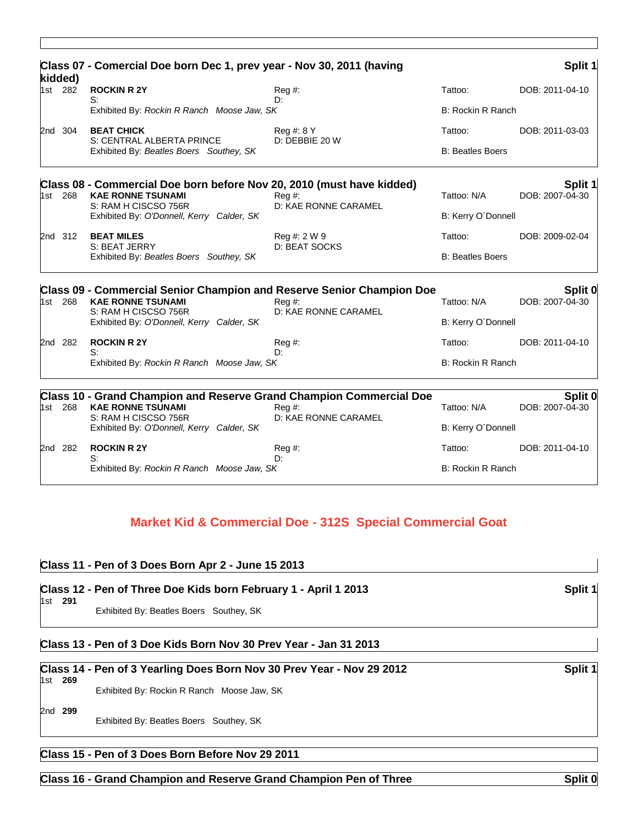|                    | Class 07 - Comercial Doe born Dec 1, prev year - Nov 30, 2011 (having                         |                                           |                          | Split 1                  |
|--------------------|-----------------------------------------------------------------------------------------------|-------------------------------------------|--------------------------|--------------------------|
| kidded)<br>1st 282 | <b>ROCKIN R 2Y</b>                                                                            | $Reg#$ :                                  | Tattoo:                  | DOB: 2011-04-10          |
|                    | S:<br>Exhibited By: Rockin R Ranch Moose Jaw, SK                                              | Dτ                                        | B: Rockin R Ranch        |                          |
| 2nd 304            | <b>BEAT CHICK</b>                                                                             | Reg #: 8 Y                                | Tattoo:                  | DOB: 2011-03-03          |
|                    | S: CENTRAL ALBERTA PRINCE<br>Exhibited By: Beatles Boers Southey, SK                          | D: DEBBIE 20 W                            | <b>B: Beatles Boers</b>  |                          |
|                    | Class 08 - Commercial Doe born before Nov 20, 2010 (must have kidded)                         |                                           |                          | Split 1                  |
| 1st 268            | <b>KAE RONNE TSUNAMI</b><br>S: RAM H CISCSO 756R                                              | $\text{Re}q \#$ :<br>D: KAE RONNE CARAMEL | Tattoo: N/A              | DOB: 2007-04-30          |
|                    | Exhibited By: O'Donnell, Kerry Calder, SK                                                     |                                           | B: Kerry O'Donnell       |                          |
| 2nd 312            | <b>BEAT MILES</b>                                                                             | Reg #: 2 W 9<br>D: BEAT SOCKS             | Tattoo:                  | DOB: 2009-02-04          |
|                    | S: BEAT JERRY<br>Exhibited By: Beatles Boers Southey, SK                                      |                                           | <b>B: Beatles Boers</b>  |                          |
|                    | <b>Class 09 - Commercial Senior Champion and Reserve Senior Champion Doe</b>                  |                                           |                          | Split 0                  |
| 1st 268            | <b>KAE RONNE TSUNAMI</b><br>S: RAM H CISCSO 756R                                              | $Reg#$ :<br>D: KAE RONNE CARAMEL          | Tattoo: N/A              | DOB: 2007-04-30          |
|                    | Exhibited By: O'Donnell, Kerry Calder, SK                                                     |                                           | B: Kerry O'Donnell       |                          |
| 2nd 282            | <b>ROCKIN R 2Y</b>                                                                            | $\text{Re}q \#$ :                         | Tattoo:                  | DOB: 2011-04-10          |
|                    | S:<br>Exhibited By: Rockin R Ranch Moose Jaw, SK                                              | D:                                        |                          | <b>B: Rockin R Ranch</b> |
|                    | <b>Class 10 - Grand Champion and Reserve Grand Champion Commercial Doe</b>                    |                                           |                          | Split 0                  |
| 1st 268            | <b>KAE RONNE TSUNAMI</b><br>S: RAM H CISCSO 756R<br>Exhibited By: O'Donnell, Kerry Calder, SK | $\text{Re}q \#$ :<br>D: KAE RONNE CARAMEL | Tattoo: N/A              | DOB: 2007-04-30          |
|                    |                                                                                               |                                           | B: Kerry O'Donnell       |                          |
| 2nd 282            | <b>ROCKIN R 2Y</b>                                                                            | Reg#                                      | Tattoo:                  | DOB: 2011-04-10          |
|                    | S:<br>Exhibited By: Rockin R Ranch Moose Jaw, SK                                              | D:                                        | <b>B: Rockin R Ranch</b> |                          |

## **Market Kid & Commercial Doe - 312S Special Commercial Goat**

## **Class 11 - Pen of 3 Does Born Apr 2 - June 15 2013**

|         | Class 12 - Pen of Three Doe Kids born February 1 - April 1 2013  | Split 1 |
|---------|------------------------------------------------------------------|---------|
| 1st 291 | Exhibited By: Beatles Boers Southey, SK                          |         |
|         | Class 13 - Pen of 3 Doe Kids Born Nov 30 Prev Year - Jan 31 2013 |         |

# **Class 14 - Pen of 3 Yearling Does Born Nov 30 Prev Year - Nov 29 2012 Split 1**

#### 1st **269** Exhibited By: Rockin R Ranch Moose Jaw, SK

2nd **299**

Exhibited By: Beatles Boers Southey, SK

## **Class 15 - Pen of 3 Does Born Before Nov 29 2011**

**Class 16 - Grand Champion and Reserve Grand Champion Pen of Three Split 0** Split 0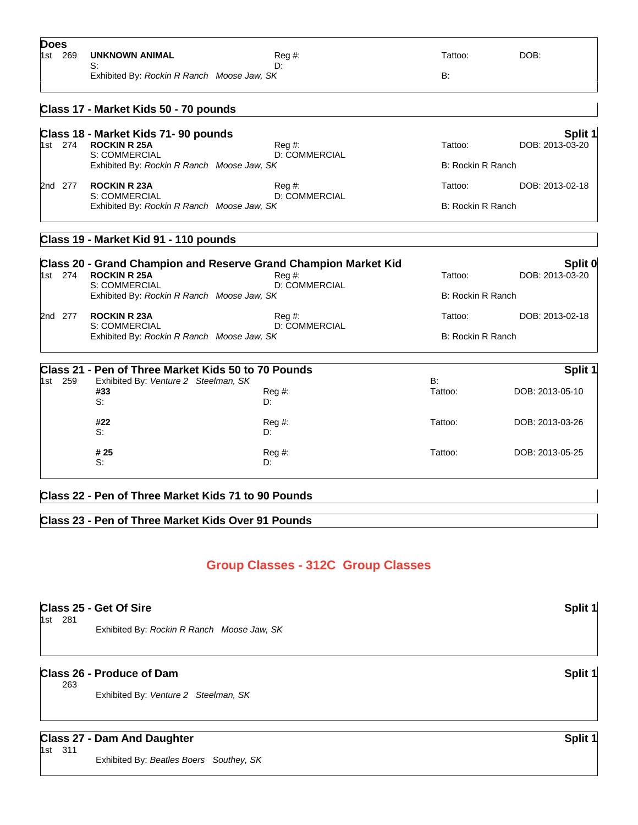|                                      |                                       |                                                                                                                                                                                                                                                                                                                                                                                                                                                                                                                                                                                                                                                                                           | DOB:                                                                                                                       |
|--------------------------------------|---------------------------------------|-------------------------------------------------------------------------------------------------------------------------------------------------------------------------------------------------------------------------------------------------------------------------------------------------------------------------------------------------------------------------------------------------------------------------------------------------------------------------------------------------------------------------------------------------------------------------------------------------------------------------------------------------------------------------------------------|----------------------------------------------------------------------------------------------------------------------------|
| S:                                   | D:                                    |                                                                                                                                                                                                                                                                                                                                                                                                                                                                                                                                                                                                                                                                                           |                                                                                                                            |
|                                      |                                       |                                                                                                                                                                                                                                                                                                                                                                                                                                                                                                                                                                                                                                                                                           |                                                                                                                            |
|                                      |                                       |                                                                                                                                                                                                                                                                                                                                                                                                                                                                                                                                                                                                                                                                                           |                                                                                                                            |
|                                      |                                       |                                                                                                                                                                                                                                                                                                                                                                                                                                                                                                                                                                                                                                                                                           | Split 1                                                                                                                    |
| <b>ROCKIN R 25A</b><br>S: COMMERCIAL | $Reg#$ :<br>D: COMMERCIAL             | Tattoo:                                                                                                                                                                                                                                                                                                                                                                                                                                                                                                                                                                                                                                                                                   | DOB: 2013-03-20                                                                                                            |
|                                      |                                       |                                                                                                                                                                                                                                                                                                                                                                                                                                                                                                                                                                                                                                                                                           |                                                                                                                            |
| <b>ROCKIN R 23A</b><br>S: COMMERCIAL | Reg #:<br><b>D: COMMERCIAL</b>        | Tattoo:                                                                                                                                                                                                                                                                                                                                                                                                                                                                                                                                                                                                                                                                                   | DOB: 2013-02-18                                                                                                            |
|                                      |                                       |                                                                                                                                                                                                                                                                                                                                                                                                                                                                                                                                                                                                                                                                                           |                                                                                                                            |
|                                      |                                       |                                                                                                                                                                                                                                                                                                                                                                                                                                                                                                                                                                                                                                                                                           |                                                                                                                            |
|                                      |                                       |                                                                                                                                                                                                                                                                                                                                                                                                                                                                                                                                                                                                                                                                                           | Split 0                                                                                                                    |
| <b>ROCKIN R 25A</b>                  | Reg #:                                | Tattoo:                                                                                                                                                                                                                                                                                                                                                                                                                                                                                                                                                                                                                                                                                   | DOB: 2013-03-20                                                                                                            |
| S: COMMERCIAL                        | <b>D: COMMERCIAL</b>                  |                                                                                                                                                                                                                                                                                                                                                                                                                                                                                                                                                                                                                                                                                           |                                                                                                                            |
| <b>ROCKIN R 23A</b>                  | Reg #:                                | Tattoo:                                                                                                                                                                                                                                                                                                                                                                                                                                                                                                                                                                                                                                                                                   | DOB: 2013-02-18                                                                                                            |
|                                      |                                       |                                                                                                                                                                                                                                                                                                                                                                                                                                                                                                                                                                                                                                                                                           |                                                                                                                            |
|                                      |                                       |                                                                                                                                                                                                                                                                                                                                                                                                                                                                                                                                                                                                                                                                                           | Split 1                                                                                                                    |
|                                      |                                       | <b>B</b> :                                                                                                                                                                                                                                                                                                                                                                                                                                                                                                                                                                                                                                                                                |                                                                                                                            |
| #33<br>S:                            | Reg #:<br>D:                          |                                                                                                                                                                                                                                                                                                                                                                                                                                                                                                                                                                                                                                                                                           | DOB: 2013-05-10                                                                                                            |
| #22                                  | Reg #:                                | Tattoo:                                                                                                                                                                                                                                                                                                                                                                                                                                                                                                                                                                                                                                                                                   | DOB: 2013-03-26                                                                                                            |
|                                      |                                       |                                                                                                                                                                                                                                                                                                                                                                                                                                                                                                                                                                                                                                                                                           |                                                                                                                            |
| # 25<br>S:                           | Reg #:<br>D:                          | Tattoo:                                                                                                                                                                                                                                                                                                                                                                                                                                                                                                                                                                                                                                                                                   | DOB: 2013-05-25                                                                                                            |
|                                      |                                       |                                                                                                                                                                                                                                                                                                                                                                                                                                                                                                                                                                                                                                                                                           |                                                                                                                            |
|                                      | UNKNOWN ANIMAL<br>S: COMMERCIAL<br>S: | Reg #:<br>Exhibited By: Rockin R Ranch Moose Jaw, SK<br>Class 17 - Market Kids 50 - 70 pounds<br>Class 18 - Market Kids 71-90 pounds<br>Exhibited By: Rockin R Ranch Moose Jaw, SK<br>Exhibited By: Rockin R Ranch Moose Jaw, SK<br>Class 19 - Market Kid 91 - 110 pounds<br><b>Class 20 - Grand Champion and Reserve Grand Champion Market Kid</b><br>Exhibited By: Rockin R Ranch Moose Jaw, SK<br><b>D: COMMERCIAL</b><br>Exhibited By: Rockin R Ranch Moose Jaw, SK<br>Class 21 - Pen of Three Market Kids 50 to 70 Pounds<br>Exhibited By: Venture 2 Steelman, SK<br>D:<br>Class 22 - Pen of Three Market Kids 71 to 90 Pounds<br>Class 23 - Pen of Three Market Kids Over 91 Pounds | Tattoo:<br>B:<br>B: Rockin R Ranch<br>B: Rockin R Ranch<br><b>B: Rockin R Ranch</b><br><b>B: Rockin R Ranch</b><br>Tattoo: |

# **Group Classes - 312C Group Classes**

# **Class 25 - Get Of Sire Split 1** 1st 281 Exhibited By: *Rockin R Ranch Moose Jaw, SK* **Class 26 - Produce of Dam Split 1** 263 Exhibited By: *Venture 2 Steelman, SK* **Class 27 - Dam And Daughter Split 1 Split 1 Split 1 Split 1 Split 1 Split 1 Split 1 Split 1 Split 1 Split 1 Split 1 Split 1 Split 1 Split 1 Split 1 Split 1 Split 1 Split 1 Split 1 S** 1st 311

Exhibited By: *Beatles Boers Southey, SK*